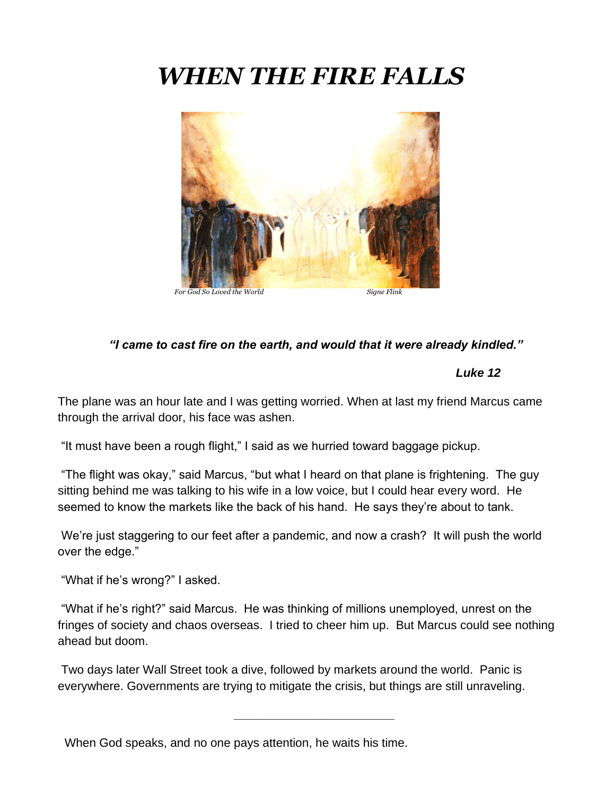# *WHEN THE FIRE FALLS*



#### *"I came to cast fire on the earth, and would that it were already kindled."*

#### *Luke 12*

The plane was an hour late and I was getting worried. When at last my friend Marcus came through the arrival door, his face was ashen.

"It must have been a rough flight," I said as we hurried toward baggage pickup.

"The flight was okay," said Marcus, "but what I heard on that plane is frightening. The guy sitting behind me was talking to his wife in a low voice, but I could hear every word. He seemed to know the markets like the back of his hand. He says they're about to tank.

We're just staggering to our feet after a pandemic, and now a crash? It will push the world over the edge."

"What if he's wrong?" I asked.

"What if he's right?" said Marcus. He was thinking of millions unemployed, unrest on the fringes of society and chaos overseas. I tried to cheer him up. But Marcus could see nothing ahead but doom.

 **\_\_\_\_\_\_\_\_\_\_\_\_\_\_\_\_\_\_\_\_\_\_\_\_**

Two days later Wall Street took a dive, followed by markets around the world. Panic is everywhere. Governments are trying to mitigate the crisis, but things are still unraveling.

When God speaks, and no one pays attention, he waits his time.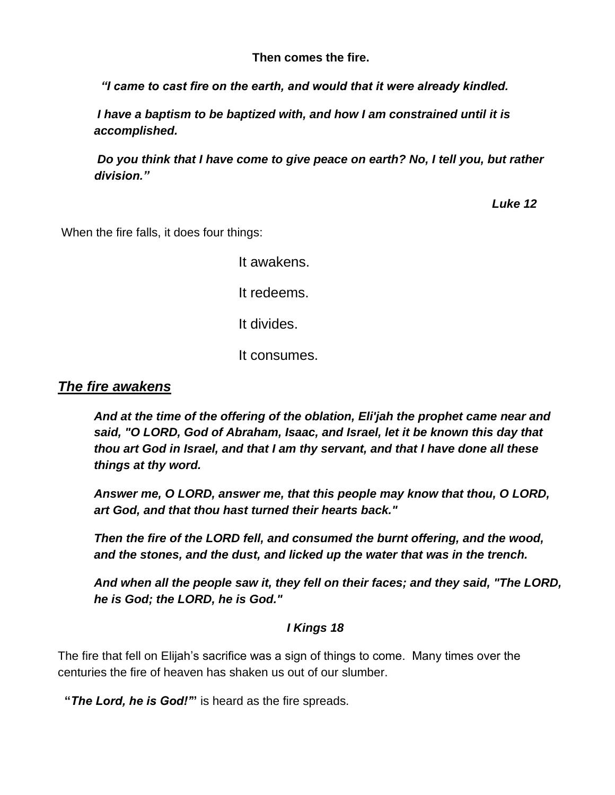**Then comes the fire.**

 *"I came to cast fire on the earth, and would that it were already kindled.*

*I have a baptism to be baptized with, and how I am constrained until it is accomplished.*

*Do you think that I have come to give peace on earth? No, I tell you, but rather division."*

 *Luke 12*

When the fire falls, it does four things:

It awakens. It redeems. It divides. It consumes.

*The fire awakens*

*And at the time of the offering of the oblation, Eli'jah the prophet came near and said, "O LORD, God of Abraham, Isaac, and Israel, let it be known this day that thou art God in Israel, and that I am thy servant, and that I have done all these things at thy word.*

*Answer me, O LORD, answer me, that this people may know that thou, O LORD, art God, and that thou hast turned their hearts back."*

*Then the fire of the LORD fell, and consumed the burnt offering, and the wood, and the stones, and the dust, and licked up the water that was in the trench.*

*And when all the people saw it, they fell on their faces; and they said, "The LORD, he is God; the LORD, he is God."*

### *I Kings 18*

The fire that fell on Elijah's sacrifice was a sign of things to come. Many times over the centuries the fire of heaven has shaken us out of our slumber.

**"***The Lord, he is God!'***"** is heard as the fire spreads.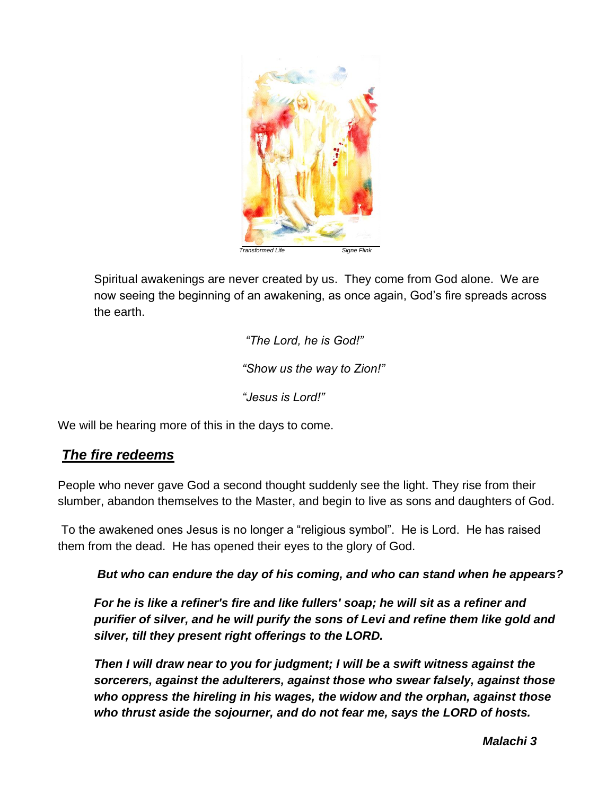

Spiritual awakenings are never created by us. They come from God alone. We are now seeing the beginning of an awakening, as once again, God's fire spreads across the earth.

> *"The Lord, he is God!" "Show us the way to Zion!" "Jesus is Lord!"*

We will be hearing more of this in the days to come.

# *The fire redeems*

People who never gave God a second thought suddenly see the light. They rise from their slumber, abandon themselves to the Master, and begin to live as sons and daughters of God.

To the awakened ones Jesus is no longer a "religious symbol". He is Lord. He has raised them from the dead. He has opened their eyes to the glory of God.

*But who can endure the day of his coming, and who can stand when he appears?*

*For he is like a refiner's fire and like fullers' soap; he will sit as a refiner and purifier of silver, and he will purify the sons of Levi and refine them like gold and silver, till they present right offerings to the LORD.*

*Then I will draw near to you for judgment; I will be a swift witness against the sorcerers, against the adulterers, against those who swear falsely, against those who oppress the hireling in his wages, the widow and the orphan, against those who thrust aside the sojourner, and do not fear me, says the LORD of hosts.*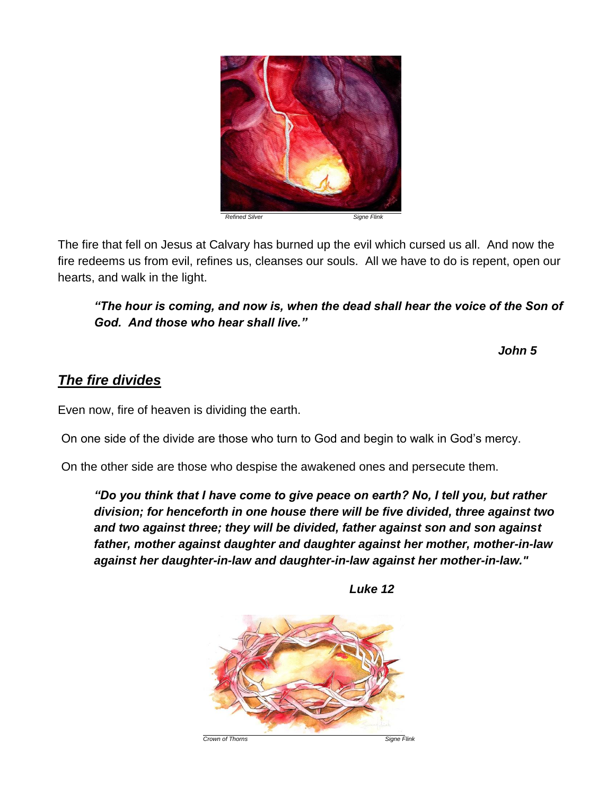

The fire that fell on Jesus at Calvary has burned up the evil which cursed us all. And now the fire redeems us from evil, refines us, cleanses our souls. All we have to do is repent, open our hearts, and walk in the light.

*"The hour is coming, and now is, when the dead shall hear the voice of the Son of God. And those who hear shall live."*

 *John 5*

# *The fire divides*

Even now, fire of heaven is dividing the earth.

On one side of the divide are those who turn to God and begin to walk in God's mercy.

On the other side are those who despise the awakened ones and persecute them.

*"Do you think that I have come to give peace on earth? No, I tell you, but rather division; for henceforth in one house there will be five divided, three against two and two against three; they will be divided, father against son and son against father, mother against daughter and daughter against her mother, mother-in-law against her daughter-in-law and daughter-in-law against her mother-in-law."*

**Crown of Thorns** Signe Flink

 *Luke 12*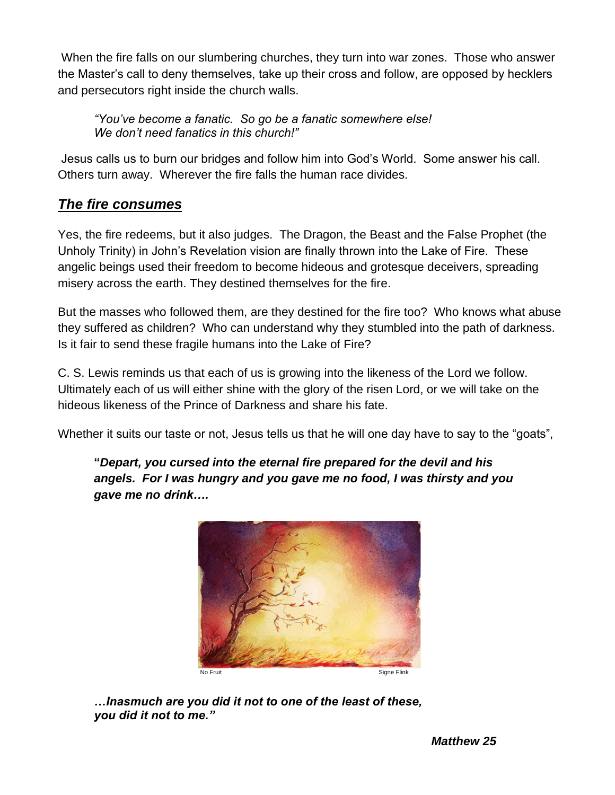When the fire falls on our slumbering churches, they turn into war zones. Those who answer the Master's call to deny themselves, take up their cross and follow, are opposed by hecklers and persecutors right inside the church walls.

*"You've become a fanatic. So go be a fanatic somewhere else! We don't need fanatics in this church!"*

Jesus calls us to burn our bridges and follow him into God's World. Some answer his call. Others turn away. Wherever the fire falls the human race divides.

# *The fire consumes*

Yes, the fire redeems, but it also judges. The Dragon, the Beast and the False Prophet (the Unholy Trinity) in John's Revelation vision are finally thrown into the Lake of Fire. These angelic beings used their freedom to become hideous and grotesque deceivers, spreading misery across the earth. They destined themselves for the fire.

But the masses who followed them, are they destined for the fire too? Who knows what abuse they suffered as children? Who can understand why they stumbled into the path of darkness. Is it fair to send these fragile humans into the Lake of Fire?

C. S. Lewis reminds us that each of us is growing into the likeness of the Lord we follow. Ultimately each of us will either shine with the glory of the risen Lord, or we will take on the hideous likeness of the Prince of Darkness and share his fate.

Whether it suits our taste or not, Jesus tells us that he will one day have to say to the "goats",

**"***Depart, you cursed into the eternal fire prepared for the devil and his angels. For I was hungry and you gave me no food, I was thirsty and you gave me no drink….*



*…Inasmuch are you did it not to one of the least of these, you did it not to me."*